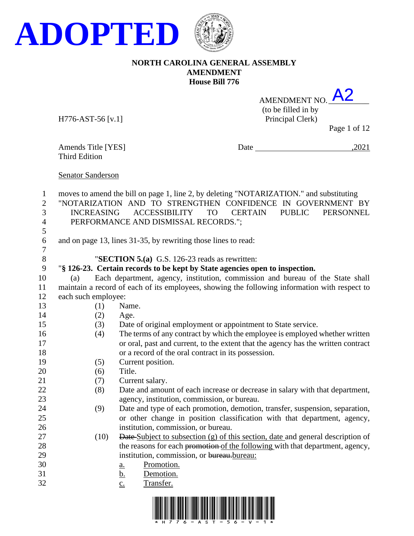

AMENDMENT NO.  $A2$ (to be filled in by H776-AST-56 [v.1] Principal Clerk)

Page 1 of 12

Third Edition

Amends Title [YES] Date ,2021

Senator Sanderson

| $\mathbf{1}$   |                                                                                     | moves to amend the bill on page 1, line 2, by deleting "NOTARIZATION." and substituting       |  |  |  |
|----------------|-------------------------------------------------------------------------------------|-----------------------------------------------------------------------------------------------|--|--|--|
| $\mathbf{2}$   | "NOTARIZATION AND TO STRENGTHEN CONFIDENCE IN GOVERNMENT BY                         |                                                                                               |  |  |  |
| 3              | ACCESSIBILITY<br><b>PUBLIC</b><br>INCREASING<br>TO T<br><b>CERTAIN</b><br>PERSONNEL |                                                                                               |  |  |  |
| $\overline{4}$ |                                                                                     | PERFORMANCE AND DISMISSAL RECORDS.";                                                          |  |  |  |
| 5              |                                                                                     |                                                                                               |  |  |  |
| 6              |                                                                                     | and on page 13, lines 31-35, by rewriting those lines to read:                                |  |  |  |
| $\tau$         |                                                                                     |                                                                                               |  |  |  |
| $\,8\,$        |                                                                                     | "SECTION 5.(a) G.S. 126-23 reads as rewritten:                                                |  |  |  |
| 9              |                                                                                     | "§ 126-23. Certain records to be kept by State agencies open to inspection.                   |  |  |  |
| 10             | (a)                                                                                 | Each department, agency, institution, commission and bureau of the State shall                |  |  |  |
| 11             |                                                                                     | maintain a record of each of its employees, showing the following information with respect to |  |  |  |
| 12             | each such employee:                                                                 |                                                                                               |  |  |  |
| 13             | (1)                                                                                 | Name.                                                                                         |  |  |  |
| 14             | (2)                                                                                 | Age.                                                                                          |  |  |  |
| 15             | (3)                                                                                 | Date of original employment or appointment to State service.                                  |  |  |  |
| 16             | (4)                                                                                 | The terms of any contract by which the employee is employed whether written                   |  |  |  |
| 17             |                                                                                     | or oral, past and current, to the extent that the agency has the written contract             |  |  |  |
| 18             |                                                                                     | or a record of the oral contract in its possession.                                           |  |  |  |
| 19             | (5)                                                                                 | Current position.                                                                             |  |  |  |
| 20             | (6)                                                                                 | Title.                                                                                        |  |  |  |
| 21             | (7)                                                                                 | Current salary.                                                                               |  |  |  |
| 22             | (8)                                                                                 | Date and amount of each increase or decrease in salary with that department,                  |  |  |  |
| 23             |                                                                                     | agency, institution, commission, or bureau.                                                   |  |  |  |
| 24             | (9)                                                                                 | Date and type of each promotion, demotion, transfer, suspension, separation,                  |  |  |  |
| 25             |                                                                                     | or other change in position classification with that department, agency,                      |  |  |  |
| 26             |                                                                                     | institution, commission, or bureau.                                                           |  |  |  |
| 27             | (10)                                                                                | Date Subject to subsection (g) of this section, date and general description of               |  |  |  |
| 28             |                                                                                     | the reasons for each promotion of the following with that department, agency,                 |  |  |  |
| 29             |                                                                                     | institution, commission, or bureau.bureau:                                                    |  |  |  |
| 30             |                                                                                     | Promotion.<br>a.                                                                              |  |  |  |
| 31             |                                                                                     | <u>b.</u><br>Demotion.                                                                        |  |  |  |
| 32             |                                                                                     | Transfer.<br>$\overline{c}$ .                                                                 |  |  |  |

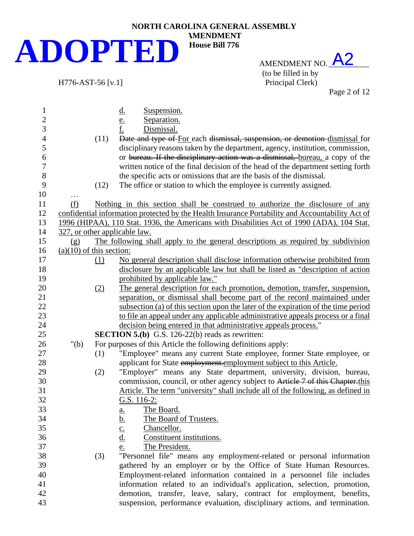# **NORTH CAROLINA GENERAL ASSEMBLY ADOPTED**

H776-AST-56 [v.1]

## AMENDMENT NO.  $A2$ (to be filled in by<br>Principal Clerk)

Page 2 of 12

| $\mathbf{1}$   |                            |      | Suspension.<br><u>d.</u>                                                                         |
|----------------|----------------------------|------|--------------------------------------------------------------------------------------------------|
| $\overline{c}$ |                            |      | Separation.                                                                                      |
| $\overline{3}$ |                            |      | $\frac{e}{f}$<br>Dismissal.                                                                      |
| $\overline{4}$ |                            | (11) | Date and type of For each dismissal, suspension, or demotion dismissal for                       |
| 5              |                            |      | disciplinary reasons taken by the department, agency, institution, commission,                   |
| 6              |                            |      | or bureau. If the disciplinary action was a dismissal, bureau, a copy of the                     |
| 7              |                            |      | written notice of the final decision of the head of the department setting forth                 |
| 8              |                            |      | the specific acts or omissions that are the basis of the dismissal.                              |
| 9              |                            | (12) | The office or station to which the employee is currently assigned.                               |
| 10             | $\cdots$                   |      |                                                                                                  |
| 11             | (f)                        |      | Nothing in this section shall be construed to authorize the disclosure of any                    |
| 12             |                            |      | confidential information protected by the Health Insurance Portability and Accountability Act of |
| 13             |                            |      | 1996 (HIPAA), 110 Stat. 1936, the Americans with Disabilities Act of 1990 (ADA), 104 Stat.       |
| 14             |                            |      | 327, or other applicable law.                                                                    |
| 15             | (g)                        |      | The following shall apply to the general descriptions as required by subdivision                 |
| 16             | $(a)(10)$ of this section: |      |                                                                                                  |
| 17             |                            | (1)  | No general description shall disclose information otherwise prohibited from                      |
| 18             |                            |      | disclosure by an applicable law but shall be listed as "description of action                    |
| 19             |                            |      | prohibited by applicable law."                                                                   |
| 20             |                            | (2)  | The general description for each promotion, demotion, transfer, suspension,                      |
| 21             |                            |      | separation, or dismissal shall become part of the record maintained under                        |
| 22             |                            |      | subsection (a) of this section upon the later of the expiration of the time period               |
| 23             |                            |      | to file an appeal under any applicable administrative appeals process or a final                 |
| 24             |                            |      | decision being entered in that administrative appeals process."                                  |
| 25             |                            |      | <b>SECTION 5.(b)</b> G.S. 126-22(b) reads as rewritten:                                          |
| 26             | " $(b)$                    |      | For purposes of this Article the following definitions apply:                                    |
| 27             |                            | (1)  | "Employee" means any current State employee, former State employee, or                           |
| 28             |                            |      | applicant for State employment.employment subject to this Article.                               |
| 29             |                            | (2)  | "Employer" means any State department, university, division, bureau,                             |
| 30             |                            |      | commission, council, or other agency subject to Article 7 of this Chapter.this                   |
| 31             |                            |      | Article. The term "university" shall include all of the following, as defined in                 |
| 32             |                            |      | G.S. 116-2:                                                                                      |
| 33             |                            |      | The Board.                                                                                       |
| 34             |                            |      | <u>a.</u><br>The Board of Trustees.                                                              |
| 35             |                            |      | <u>b.</u><br>Chancellor.                                                                         |
| 36             |                            |      | $\underline{c}$ .<br>$\underline{d}$ .<br>Constituent institutions.                              |
| 37             |                            |      | The President.                                                                                   |
| 38             |                            |      | <u>e.</u><br>"Personnel file" means any employment-related or personal information               |
| 39             |                            | (3)  | gathered by an employer or by the Office of State Human Resources.                               |
| 40             |                            |      | Employment-related information contained in a personnel file includes                            |
| 41             |                            |      | information related to an individual's application, selection, promotion,                        |
| 42             |                            |      | demotion, transfer, leave, salary, contract for employment, benefits,                            |
| 43             |                            |      | suspension, performance evaluation, disciplinary actions, and termination.                       |
|                |                            |      |                                                                                                  |

**AMENDMENT House Bill 776**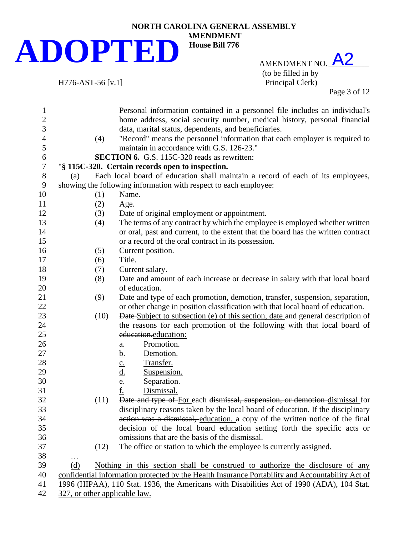

AMENDMENT NO.  $A2$ (to be filled in by H776-AST-56 [v.1] Principal Clerk)

Page 3 of 12

| $\mathbf{1}$<br>$\overline{2}$ |                               | Personal information contained in a personnel file includes an individual's<br>home address, social security number, medical history, personal financial |
|--------------------------------|-------------------------------|----------------------------------------------------------------------------------------------------------------------------------------------------------|
| 3                              |                               | data, marital status, dependents, and beneficiaries.                                                                                                     |
| $\overline{4}$                 | (4)                           | "Record" means the personnel information that each employer is required to                                                                               |
| 5                              |                               | maintain in accordance with G.S. 126-23."                                                                                                                |
| 6                              |                               | <b>SECTION 6.</b> G.S. 115C-320 reads as rewritten:                                                                                                      |
| $\boldsymbol{7}$               |                               | "§ 115C-320. Certain records open to inspection.                                                                                                         |
| $8\,$                          | (a)                           | Each local board of education shall maintain a record of each of its employees,                                                                          |
| 9                              |                               | showing the following information with respect to each employee:                                                                                         |
| 10                             | (1)                           | Name.                                                                                                                                                    |
| 11                             | (2)                           | Age.                                                                                                                                                     |
| 12                             | (3)                           | Date of original employment or appointment.                                                                                                              |
| 13                             | (4)                           | The terms of any contract by which the employee is employed whether written                                                                              |
| 14                             |                               | or oral, past and current, to the extent that the board has the written contract                                                                         |
| 15                             |                               | or a record of the oral contract in its possession.                                                                                                      |
| 16                             | (5)                           | Current position.                                                                                                                                        |
| 17                             | (6)                           | Title.                                                                                                                                                   |
| 18                             | (7)                           | Current salary.                                                                                                                                          |
| 19                             | (8)                           | Date and amount of each increase or decrease in salary with that local board                                                                             |
| 20                             |                               | of education.                                                                                                                                            |
| 21                             | (9)                           | Date and type of each promotion, demotion, transfer, suspension, separation,                                                                             |
| 22                             |                               | or other change in position classification with that local board of education.                                                                           |
| 23                             | (10)                          | Date Subject to subsection (e) of this section, date and general description of                                                                          |
| 24                             |                               | the reasons for each promotion of the following with that local board of                                                                                 |
| 25                             |                               | education.education:                                                                                                                                     |
| 26                             |                               | Promotion.<br><u>a.</u>                                                                                                                                  |
| 27                             |                               | <u>b.</u><br>Demotion.                                                                                                                                   |
| 28                             |                               | Transfer.                                                                                                                                                |
| 29                             |                               | $\frac{c}{d}$<br>Suspension.                                                                                                                             |
| 30                             |                               | Separation.                                                                                                                                              |
| 31                             |                               | $\frac{e}{f}$<br>Dismissal.                                                                                                                              |
| 32                             | (11)                          | Date and type of For each dismissal, suspension, or demotion dismissal for                                                                               |
| 33                             |                               | disciplinary reasons taken by the local board of education. If the disciplinary                                                                          |
| 34                             |                               | action was a dismissal, education, a copy of the written notice of the final                                                                             |
| 35                             |                               | decision of the local board education setting forth the specific acts or                                                                                 |
| 36                             |                               | omissions that are the basis of the dismissal.                                                                                                           |
| 37                             | (12)                          | The office or station to which the employee is currently assigned.                                                                                       |
| 38                             |                               |                                                                                                                                                          |
| 39                             | $\cdots$<br>(d)               | Nothing in this section shall be construed to authorize the disclosure of any                                                                            |
| 40                             |                               | confidential information protected by the Health Insurance Portability and Accountability Act of                                                         |
| 41                             |                               | 1996 (HIPAA), 110 Stat. 1936, the Americans with Disabilities Act of 1990 (ADA), 104 Stat.                                                               |
| 42                             | 327, or other applicable law. |                                                                                                                                                          |
|                                |                               |                                                                                                                                                          |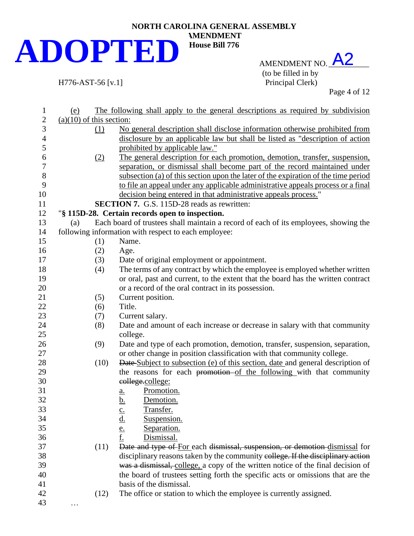# **NORTH CAROLINA GENERAL ASSEMBLY ADOPTED**

AMENDMENT NO.  $A2$ (to be filled in by

H776-AST-56 [v.1] Principal Clerk)

Page 4 of 12

| $\mathbf{1}$   | <u>(e)</u>                 |      | The following shall apply to the general descriptions as required by subdivision     |
|----------------|----------------------------|------|--------------------------------------------------------------------------------------|
| $\overline{c}$ | $(a)(10)$ of this section: |      |                                                                                      |
| 3              |                            | (1)  | No general description shall disclose information otherwise prohibited from          |
| $\overline{4}$ |                            |      | disclosure by an applicable law but shall be listed as "description of action        |
| 5              |                            |      | prohibited by applicable law."                                                       |
| 6              |                            | (2)  | The general description for each promotion, demotion, transfer, suspension,          |
| $\overline{7}$ |                            |      | separation, or dismissal shall become part of the record maintained under            |
| 8              |                            |      | subsection (a) of this section upon the later of the expiration of the time period   |
| 9              |                            |      | to file an appeal under any applicable administrative appeals process or a final     |
| 10             |                            |      | decision being entered in that administrative appeals process."                      |
| 11             |                            |      | <b>SECTION 7.</b> G.S. 115D-28 reads as rewritten:                                   |
| 12             |                            |      | "§ 115D-28. Certain records open to inspection.                                      |
| 13             | (a)                        |      | Each board of trustees shall maintain a record of each of its employees, showing the |
| 14             |                            |      | following information with respect to each employee:                                 |
| 15             |                            | (1)  | Name.                                                                                |
| 16             |                            | (2)  | Age.                                                                                 |
| 17             |                            | (3)  | Date of original employment or appointment.                                          |
| 18             |                            | (4)  | The terms of any contract by which the employee is employed whether written          |
| 19             |                            |      | or oral, past and current, to the extent that the board has the written contract     |
| 20             |                            |      | or a record of the oral contract in its possession.                                  |
| 21             |                            | (5)  | Current position.                                                                    |
| 22             |                            | (6)  | Title.                                                                               |
| 23             |                            | (7)  | Current salary.                                                                      |
| 24             |                            | (8)  | Date and amount of each increase or decrease in salary with that community           |
| 25             |                            |      | college.                                                                             |
| 26             |                            | (9)  | Date and type of each promotion, demotion, transfer, suspension, separation,         |
| 27             |                            |      | or other change in position classification with that community college.              |
| 28             |                            | (10) | Date Subject to subsection (e) of this section, date and general description of      |
| 29             |                            |      | the reasons for each promotion of the following with that community                  |
| 30             |                            |      | college.college:                                                                     |
| 31             |                            |      | Promotion.<br><u>a.</u>                                                              |
| 32             |                            |      | <u>b.</u><br>Demotion.                                                               |
| 33             |                            |      | Transfer.<br>$\underline{\mathbf{C}}$ .                                              |
| 34             |                            |      | Suspension.                                                                          |
| 35             |                            |      | $\frac{d}{e}$ .<br>f.<br>Separation.                                                 |
| 36             |                            |      | Dismissal.                                                                           |
| 37             |                            | (11) | Date and type of For each dismissal, suspension, or demotion dismissal for           |
| 38             |                            |      | disciplinary reasons taken by the community college. If the disciplinary action      |
| 39             |                            |      | was a dismissal, college, a copy of the written notice of the final decision of      |
| 40             |                            |      | the board of trustees setting forth the specific acts or omissions that are the      |
| 41             |                            |      | basis of the dismissal.                                                              |
| 42             |                            | (12) | The office or station to which the employee is currently assigned.                   |
| 43             | .                          |      |                                                                                      |
|                |                            |      |                                                                                      |

**AMENDMENT House Bill 776**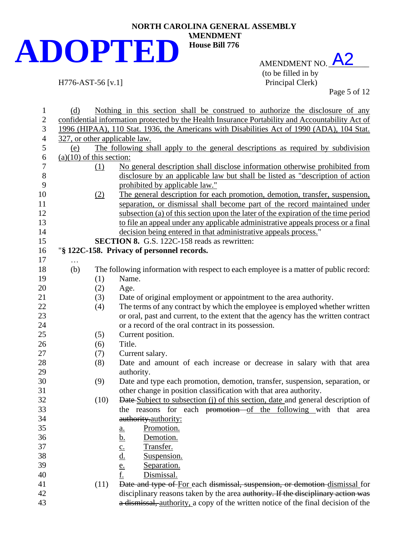AMENDMENT NO.  $A2$ (to be filled in by<br>Principal Clerk)

 $H776-AST-56$  [v.1]

Page 5 of 12

| 1                | (d)                        |      | Nothing in this section shall be construed to authorize the disclosure of any                    |
|------------------|----------------------------|------|--------------------------------------------------------------------------------------------------|
| $\overline{c}$   |                            |      | confidential information protected by the Health Insurance Portability and Accountability Act of |
| 3                |                            |      | 1996 (HIPAA), 110 Stat. 1936, the Americans with Disabilities Act of 1990 (ADA), 104 Stat.       |
| $\overline{4}$   |                            |      | 327, or other applicable law.                                                                    |
| 5                | (e)                        |      | The following shall apply to the general descriptions as required by subdivision                 |
| $\boldsymbol{6}$ | $(a)(10)$ of this section: |      |                                                                                                  |
| $\overline{7}$   |                            | (1)  | No general description shall disclose information otherwise prohibited from                      |
| $8\,$            |                            |      | disclosure by an applicable law but shall be listed as "description of action                    |
| 9                |                            |      | prohibited by applicable law."                                                                   |
| 10               |                            | (2)  | The general description for each promotion, demotion, transfer, suspension,                      |
| 11               |                            |      | separation, or dismissal shall become part of the record maintained under                        |
| 12               |                            |      | subsection (a) of this section upon the later of the expiration of the time period               |
| 13               |                            |      | to file an appeal under any applicable administrative appeals process or a final                 |
| 14               |                            |      | decision being entered in that administrative appeals process."                                  |
| 15               |                            |      | <b>SECTION 8.</b> G.S. 122C-158 reads as rewritten:                                              |
| 16               |                            |      | "§ 122C-158. Privacy of personnel records.                                                       |
| 17               | .                          |      |                                                                                                  |
| 18               | (b)                        |      | The following information with respect to each employee is a matter of public record:            |
| 19               |                            | (1)  | Name.                                                                                            |
| 20               |                            | (2)  | Age.                                                                                             |
| 21               |                            | (3)  | Date of original employment or appointment to the area authority.                                |
| 22               |                            | (4)  | The terms of any contract by which the employee is employed whether written                      |
| 23               |                            |      | or oral, past and current, to the extent that the agency has the written contract                |
| 24               |                            |      | or a record of the oral contract in its possession.                                              |
| 25               |                            | (5)  | Current position.                                                                                |
| 26               |                            | (6)  | Title.                                                                                           |
| 27               |                            | (7)  | Current salary.                                                                                  |
| 28               |                            | (8)  | Date and amount of each increase or decrease in salary with that area                            |
| 29               |                            |      | authority.                                                                                       |
| 30               |                            | (9)  | Date and type each promotion, demotion, transfer, suspension, separation, or                     |
| 31               |                            |      | other change in position classification with that area authority.                                |
| 32               |                            | (10) | Date Subject to subsection (j) of this section, date and general description of                  |
| 33               |                            |      | the reasons for each promotion of the following with that area                                   |
| 34<br>35         |                            |      | authority.authority:                                                                             |
| 36               |                            |      | Promotion.<br>$\underline{a}$ .                                                                  |
| 37               |                            |      | <u>b.</u><br>Demotion.                                                                           |
| 38               |                            |      | Transfer.<br>Suspension.                                                                         |
| 39               |                            |      | Separation.                                                                                      |
| 40               |                            |      | $rac{\underline{c}}{\underline{d}}$ .<br>$rac{\underline{e}}{\underline{f}}$ .<br>Dismissal.     |
| 41               |                            | (11) | Date and type of For each dismissal, suspension, or demotion dismissal for                       |
| 42               |                            |      | disciplinary reasons taken by the area authority. If the disciplinary action was                 |
| 43               |                            |      | a dismissal, authority, a copy of the written notice of the final decision of the                |
|                  |                            |      |                                                                                                  |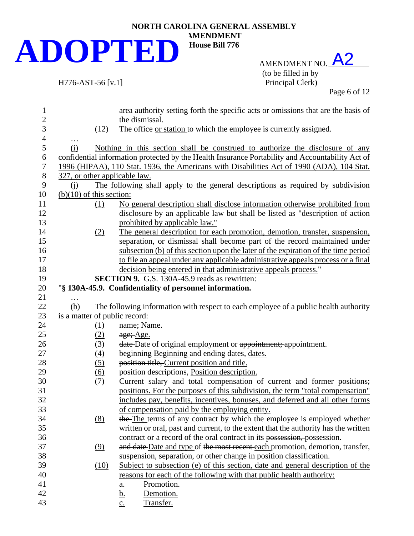H776-AST-56 [v.1]

AMENDMENT NO.  $A2$ (to be filled in by<br>Principal Clerk) Page 6 of 12

| 1                   |                               | area authority setting forth the specific acts or omissions that are the basis of                                                                                                 |
|---------------------|-------------------------------|-----------------------------------------------------------------------------------------------------------------------------------------------------------------------------------|
| $\overline{c}$      |                               | the dismissal.                                                                                                                                                                    |
| 3                   | (12)                          | The office or station to which the employee is currently assigned.                                                                                                                |
| $\overline{4}$<br>5 |                               |                                                                                                                                                                                   |
| 6                   | (i)                           | Nothing in this section shall be construed to authorize the disclosure of any<br>confidential information protected by the Health Insurance Portability and Accountability Act of |
| 7                   |                               | 1996 (HIPAA), 110 Stat. 1936, the Americans with Disabilities Act of 1990 (ADA), 104 Stat.                                                                                        |
| 8                   | 327, or other applicable law. |                                                                                                                                                                                   |
| 9                   | (i)                           | The following shall apply to the general descriptions as required by subdivision                                                                                                  |
| 10                  | $(b)(10)$ of this section:    |                                                                                                                                                                                   |
| 11                  | (1)                           | No general description shall disclose information otherwise prohibited from                                                                                                       |
| 12                  |                               | disclosure by an applicable law but shall be listed as "description of action                                                                                                     |
| 13                  |                               | prohibited by applicable law."                                                                                                                                                    |
| 14                  | (2)                           | The general description for each promotion, demotion, transfer, suspension,                                                                                                       |
| 15                  |                               | separation, or dismissal shall become part of the record maintained under                                                                                                         |
| 16                  |                               | subsection (b) of this section upon the later of the expiration of the time period                                                                                                |
| 17                  |                               | to file an appeal under any applicable administrative appeals process or a final                                                                                                  |
| 18                  |                               | decision being entered in that administrative appeals process."                                                                                                                   |
| 19                  |                               | <b>SECTION 9.</b> G.S. 130A-45.9 reads as rewritten:                                                                                                                              |
| 20                  |                               | "§ 130A-45.9. Confidentiality of personnel information.                                                                                                                           |
| 21                  | $\cdots$                      |                                                                                                                                                                                   |
| 22                  | (b)                           | The following information with respect to each employee of a public health authority                                                                                              |
| 23                  | is a matter of public record: |                                                                                                                                                                                   |
| 24                  | (1)                           | name; Name.                                                                                                                                                                       |
| 25                  | (2)                           | age; Age.                                                                                                                                                                         |
| 26                  | (3)                           | date Date of original employment or appointment; appointment.                                                                                                                     |
| 27                  | (4)                           | beginning Beginning and ending dates, dates.                                                                                                                                      |
| 28                  | (5)                           | position title, Current position and title.                                                                                                                                       |
| 29                  | (6)                           | position descriptions, Position description.                                                                                                                                      |
| 30                  | (7)                           | Current salary and total compensation of current and former positions;                                                                                                            |
| 31                  |                               | positions. For the purposes of this subdivision, the term "total compensation"                                                                                                    |
| 32                  |                               | includes pay, benefits, incentives, bonuses, and deferred and all other forms                                                                                                     |
| 33                  |                               | of compensation paid by the employing entity.                                                                                                                                     |
| 34                  | (8)                           | the The terms of any contract by which the employee is employed whether                                                                                                           |
| 35                  |                               | written or oral, past and current, to the extent that the authority has the written                                                                                               |
| 36                  |                               | contract or a record of the oral contract in its possession, possession.                                                                                                          |
| 37                  | (9)                           | and date Date and type of the most recent each promotion, demotion, transfer,                                                                                                     |
| 38                  |                               | suspension, separation, or other change in position classification.                                                                                                               |
| 39                  | (10)                          | Subject to subsection (e) of this section, date and general description of the                                                                                                    |
| 40                  |                               | reasons for each of the following with that public health authority:                                                                                                              |
| 41                  |                               | Promotion.<br><u>a.</u>                                                                                                                                                           |
| 42                  |                               | Demotion.<br><u>b.</u>                                                                                                                                                            |
| 43                  |                               | $\underline{c}$ .<br>Transfer.                                                                                                                                                    |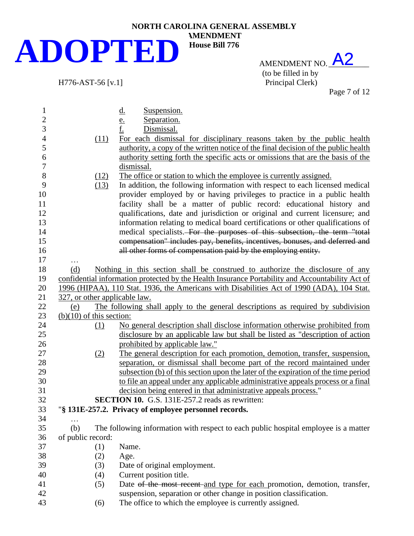# **NORTH CAROLINA GENERAL ASSEMBLY ADOPTED**

### AMENDMENT NO.  $A2$ (to be filled in by H776-AST-56 [v.1] Principal Clerk)

Page 7 of 12

| $\mathbf{1}$             |                               | Suspension.<br><u>d.</u>                                                                         |
|--------------------------|-------------------------------|--------------------------------------------------------------------------------------------------|
| $\overline{2}$           |                               | Separation.<br>$\frac{e}{f}$                                                                     |
| 3                        |                               | Dismissal.                                                                                       |
| $\overline{\mathcal{L}}$ | (11)                          | For each dismissal for disciplinary reasons taken by the public health                           |
| 5                        |                               | authority, a copy of the written notice of the final decision of the public health               |
| 6                        |                               | authority setting forth the specific acts or omissions that are the basis of the                 |
| 7                        |                               | dismissal.                                                                                       |
| 8                        | (12)                          | The office or station to which the employee is currently assigned.                               |
| 9                        | (13)                          | In addition, the following information with respect to each licensed medical                     |
| 10                       |                               | provider employed by or having privileges to practice in a public health                         |
| 11                       |                               | facility shall be a matter of public record: educational history and                             |
| 12                       |                               | qualifications, date and jurisdiction or original and current licensure; and                     |
| 13                       |                               | information relating to medical board certifications or other qualifications of                  |
| 14                       |                               | medical specialists. For the purposes of this subsection, the term "total                        |
| 15                       |                               | compensation" includes pay, benefits, incentives, bonuses, and deferred and                      |
| 16                       |                               | all other forms of compensation paid by the employing entity.                                    |
| 17                       | .                             |                                                                                                  |
| 18                       | (d)                           | Nothing in this section shall be construed to authorize the disclosure of any                    |
| 19                       |                               | confidential information protected by the Health Insurance Portability and Accountability Act of |
| 20                       |                               | 1996 (HIPAA), 110 Stat. 1936, the Americans with Disabilities Act of 1990 (ADA), 104 Stat.       |
| 21                       | 327, or other applicable law. |                                                                                                  |
| 22                       | (e)                           | The following shall apply to the general descriptions as required by subdivision                 |
| 23                       | $(b)(10)$ of this section:    |                                                                                                  |
| 24                       | (1)                           | No general description shall disclose information otherwise prohibited from                      |
| 25                       |                               | disclosure by an applicable law but shall be listed as "description of action                    |
| 26                       |                               | prohibited by applicable law."                                                                   |
| 27                       | (2)                           | The general description for each promotion, demotion, transfer, suspension,                      |
| 28                       |                               | separation, or dismissal shall become part of the record maintained under                        |
| 29                       |                               | subsection (b) of this section upon the later of the expiration of the time period               |
| 30                       |                               | to file an appeal under any applicable administrative appeals process or a final                 |
| 31                       |                               | decision being entered in that administrative appeals process."                                  |
| 32                       |                               | <b>SECTION 10.</b> G.S. 131E-257.2 reads as rewritten:                                           |
| 33                       |                               | "§ 131E-257.2. Privacy of employee personnel records.                                            |
| 34                       | $\cdots$                      |                                                                                                  |
| 35                       | (b)                           | The following information with respect to each public hospital employee is a matter              |
| 36                       | of public record:             |                                                                                                  |
| 37                       | (1)                           | Name.                                                                                            |
| 38                       | (2)                           | Age.                                                                                             |
| 39                       | (3)                           | Date of original employment.                                                                     |
| 40                       | (4)                           | Current position title.                                                                          |
| 41                       | (5)                           | Date of the most recent and type for each promotion, demotion, transfer,                         |
| 42                       |                               | suspension, separation or other change in position classification.                               |
| 43                       | (6)                           | The office to which the employee is currently assigned.                                          |
|                          |                               |                                                                                                  |

**AMENDMENT House Bill 776**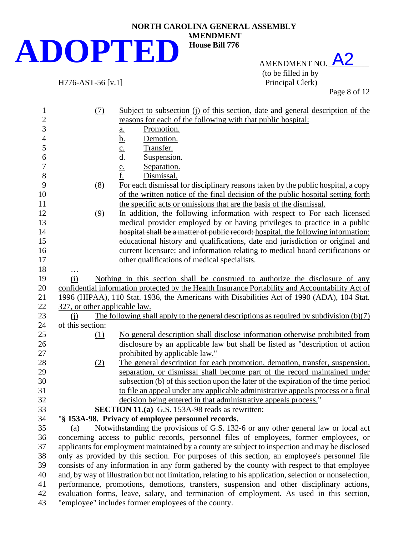## **NORTH CAROLINA GENERAL ASSEMBLY AMENDMENT ADOPTED**

AMENDMENT NO.  $A2$ (to be filled in by H776-AST-56 [v.1] Principal Clerk)

Page 8 of 12

| $\mathbf{1}$   | (7)                           | Subject to subsection (j) of this section, date and general description of the                          |
|----------------|-------------------------------|---------------------------------------------------------------------------------------------------------|
| $\overline{2}$ |                               | reasons for each of the following with that public hospital:                                            |
| $\overline{3}$ |                               | Promotion.<br><u>a.</u>                                                                                 |
| $\overline{4}$ |                               | <u>b.</u><br>Demotion.                                                                                  |
| 5              |                               | Transfer.                                                                                               |
| 6              |                               | $\frac{c}{d}$<br>Suspension.                                                                            |
| $\overline{7}$ |                               | Separation.                                                                                             |
| $8\,$          |                               | $\frac{e}{f}$ .<br>Dismissal.                                                                           |
| 9              | (8)                           | For each dismissal for disciplinary reasons taken by the public hospital, a copy                        |
| 10             |                               | of the written notice of the final decision of the public hospital setting forth                        |
| 11             |                               | the specific acts or omissions that are the basis of the dismissal.                                     |
| 12             | (9)                           | In addition, the following information with respect to For each licensed                                |
| 13             |                               | medical provider employed by or having privileges to practice in a public                               |
| 14             |                               | hospital shall be a matter of public record: hospital, the following information:                       |
| 15             |                               | educational history and qualifications, date and jurisdiction or original and                           |
| 16             |                               | current licensure; and information relating to medical board certifications or                          |
| 17             |                               | other qualifications of medical specialists.                                                            |
| 18             | .                             |                                                                                                         |
| 19             | (i)                           | Nothing in this section shall be construed to authorize the disclosure of any                           |
| 20             |                               | confidential information protected by the Health Insurance Portability and Accountability Act of        |
| 21             |                               | 1996 (HIPAA), 110 Stat. 1936, the Americans with Disabilities Act of 1990 (ADA), 104 Stat.              |
| 22             | 327, or other applicable law. |                                                                                                         |
| 23             | (i)                           | The following shall apply to the general descriptions as required by subdivision $(b)(7)$               |
| 24             | of this section:              |                                                                                                         |
| 25             | (1)                           | No general description shall disclose information otherwise prohibited from                             |
| 26             |                               | disclosure by an applicable law but shall be listed as "description of action                           |
| 27             |                               | prohibited by applicable law."                                                                          |
| 28             | (2)                           | The general description for each promotion, demotion, transfer, suspension,                             |
| 29             |                               | separation, or dismissal shall become part of the record maintained under                               |
| $30\,$         |                               | subsection (b) of this section upon the later of the expiration of the time period                      |
| 31             |                               | to file an appeal under any applicable administrative appeals process or a final                        |
| 32             |                               | decision being entered in that administrative appeals process."                                         |
| 33             |                               | <b>SECTION 11.(a)</b> G.S. 153A-98 reads as rewritten:                                                  |
| 34             |                               | "§ 153A-98. Privacy of employee personnel records.                                                      |
| 35             | (a)                           | Notwithstanding the provisions of G.S. 132-6 or any other general law or local act                      |
| 36             |                               | concerning access to public records, personnel files of employees, former employees, or                 |
| 37             |                               | applicants for employment maintained by a county are subject to inspection and may be disclosed         |
| 38             |                               | only as provided by this section. For purposes of this section, an employee's personnel file            |
| 39             |                               | consists of any information in any form gathered by the county with respect to that employee            |
| 40             |                               | and, by way of illustration but not limitation, relating to his application, selection or nonselection, |
| 41             |                               | performance, promotions, demotions, transfers, suspension and other disciplinary actions,               |
| 42             |                               | evaluation forms, leave, salary, and termination of employment. As used in this section,                |
| 43             |                               | "employee" includes former employees of the county.                                                     |
|                |                               |                                                                                                         |

**House Bill 776**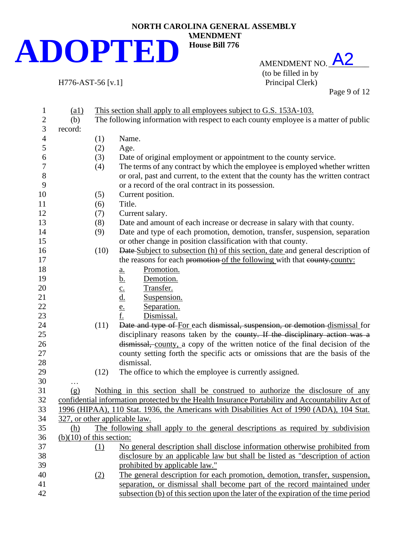

AMENDMENT NO.  $A2$ (to be filled in by

H776-AST-56 [v.1] Principal Clerk)

Page 9 of 12

| $\mathbf{1}$     | $\left( a1\right)$            |      | This section shall apply to all employees subject to G.S. 153A-103.                                                                                             |
|------------------|-------------------------------|------|-----------------------------------------------------------------------------------------------------------------------------------------------------------------|
| $\overline{2}$   | (b)                           |      | The following information with respect to each county employee is a matter of public                                                                            |
| 3                | record:                       |      |                                                                                                                                                                 |
| $\overline{4}$   |                               | (1)  | Name.                                                                                                                                                           |
| 5                |                               | (2)  | Age.                                                                                                                                                            |
| $\boldsymbol{6}$ |                               | (3)  | Date of original employment or appointment to the county service.                                                                                               |
| $\boldsymbol{7}$ |                               | (4)  | The terms of any contract by which the employee is employed whether written                                                                                     |
| 8                |                               |      | or oral, past and current, to the extent that the county has the written contract                                                                               |
| 9                |                               |      | or a record of the oral contract in its possession.                                                                                                             |
| 10               |                               | (5)  | Current position.                                                                                                                                               |
| 11               |                               | (6)  | Title.                                                                                                                                                          |
| 12               |                               | (7)  | Current salary.                                                                                                                                                 |
| 13               |                               | (8)  | Date and amount of each increase or decrease in salary with that county.                                                                                        |
| 14               |                               | (9)  | Date and type of each promotion, demotion, transfer, suspension, separation                                                                                     |
| 15               |                               |      | or other change in position classification with that county.                                                                                                    |
| 16               |                               | (10) | Date Subject to subsection (h) of this section, date and general description of                                                                                 |
| 17               |                               |      | the reasons for each promotion of the following with that eounty.county:                                                                                        |
| 18               |                               |      | Promotion.<br><u>a.</u>                                                                                                                                         |
| 19               |                               |      | <u>b.</u><br>Demotion.                                                                                                                                          |
| 20               |                               |      | $\frac{c}{d}$<br>Transfer.                                                                                                                                      |
| 21               |                               |      | Suspension.                                                                                                                                                     |
| 22               |                               |      | $\frac{e}{f}$<br>Separation.                                                                                                                                    |
| 23               |                               |      | Dismissal.                                                                                                                                                      |
| 24               |                               | (11) | Date and type of For each dismissal, suspension, or demotion dismissal for                                                                                      |
| 25               |                               |      | disciplinary reasons taken by the county. If the disciplinary action was a                                                                                      |
| 26               |                               |      | dismissal, county, a copy of the written notice of the final decision of the                                                                                    |
| 27               |                               |      | county setting forth the specific acts or omissions that are the basis of the                                                                                   |
| 28               |                               |      | dismissal.                                                                                                                                                      |
| 29               |                               | (12) | The office to which the employee is currently assigned.                                                                                                         |
| 30               | $\cdots$                      |      |                                                                                                                                                                 |
| 31               | (g)                           |      | Nothing in this section shall be construed to authorize the disclosure of any                                                                                   |
| 32               |                               |      | confidential information protected by the Health Insurance Portability and Accountability Act of                                                                |
| 33               |                               |      | 1996 (HIPAA), 110 Stat. 1936, the Americans with Disabilities Act of 1990 (ADA), 104 Stat.                                                                      |
| 34               | 327, or other applicable law. |      |                                                                                                                                                                 |
| 35               | (h)                           |      | The following shall apply to the general descriptions as required by subdivision                                                                                |
| 36               | $(b)(10)$ of this section:    |      |                                                                                                                                                                 |
| 37               |                               | (1)  | No general description shall disclose information otherwise prohibited from                                                                                     |
| 38               |                               |      | disclosure by an applicable law but shall be listed as "description of action"                                                                                  |
| 39               |                               |      | prohibited by applicable law."                                                                                                                                  |
| 40               |                               | (2)  | The general description for each promotion, demotion, transfer, suspension,                                                                                     |
| 41               |                               |      | separation, or dismissal shall become part of the record maintained under<br>subsection (b) of this section upon the later of the expiration of the time period |
| 42               |                               |      |                                                                                                                                                                 |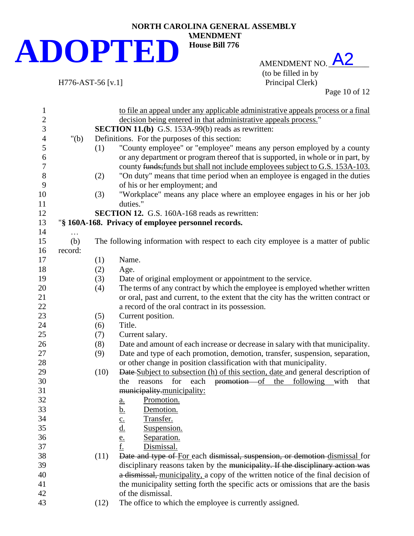AMENDMENT NO.  $A2$ (to be filled in by H776-AST-56 [v.1] Principal Clerk)

Page 10 of 12

| $\mathbf{1}$     |         |      | to file an appeal under any applicable administrative appeals process or a final   |
|------------------|---------|------|------------------------------------------------------------------------------------|
| $\overline{c}$   |         |      | decision being entered in that administrative appeals process."                    |
| 3                |         |      | <b>SECTION 11.(b)</b> G.S. 153A-99(b) reads as rewritten:                          |
| $\overline{4}$   | " $(b)$ |      | Definitions. For the purposes of this section:                                     |
| 5                |         | (1)  | "County employee" or "employee" means any person employed by a county              |
| 6                |         |      | or any department or program thereof that is supported, in whole or in part, by    |
| $\boldsymbol{7}$ |         |      | county funds; funds but shall not include employees subject to G.S. 153A-103.      |
| 8                |         | (2)  | "On duty" means that time period when an employee is engaged in the duties         |
| 9                |         |      | of his or her employment; and                                                      |
| 10               |         | (3)  | "Workplace" means any place where an employee engages in his or her job            |
| 11               |         |      | duties."                                                                           |
| 12               |         |      | <b>SECTION 12.</b> G.S. 160A-168 reads as rewritten:                               |
| 13               |         |      | "§ 160A-168. Privacy of employee personnel records.                                |
| 14               |         |      |                                                                                    |
| 15               | (b)     |      | The following information with respect to each city employee is a matter of public |
| 16               | record: |      |                                                                                    |
| 17               |         | (1)  | Name.                                                                              |
| 18               |         | (2)  | Age.                                                                               |
| 19               |         | (3)  | Date of original employment or appointment to the service.                         |
| 20               |         | (4)  | The terms of any contract by which the employee is employed whether written        |
| 21               |         |      | or oral, past and current, to the extent that the city has the written contract or |
| 22               |         |      | a record of the oral contract in its possession.                                   |
| 23               |         | (5)  | Current position.                                                                  |
| 24               |         | (6)  | Title.                                                                             |
| 25               |         | (7)  | Current salary.                                                                    |
| 26               |         | (8)  | Date and amount of each increase or decrease in salary with that municipality.     |
| 27               |         | (9)  | Date and type of each promotion, demotion, transfer, suspension, separation,       |
| 28               |         |      | or other change in position classification with that municipality.                 |
| 29               |         | (10) | Date Subject to subsection (h) of this section, date and general description of    |
| 30               |         |      | promotion of the following with<br>reasons for each<br>the<br>that                 |
| 31               |         |      | municipality.municipality:                                                         |
| 32               |         |      | Promotion.<br>a.                                                                   |
| 33               |         |      | Demotion.                                                                          |
| 34               |         |      | Transfer.                                                                          |
| 35               |         |      | $\frac{b}{c}$ .<br>$\frac{d}{d}$ .<br>$\frac{e}{f}$ .<br>Suspension.               |
| 36               |         |      | Separation.                                                                        |
| 37               |         |      | Dismissal.                                                                         |
| 38               |         | (11) | Date and type of For each dismissal, suspension, or demotion dismissal for         |
| 39               |         |      | disciplinary reasons taken by the municipality. If the disciplinary action was     |
| 40               |         |      | a dismissal, municipality, a copy of the written notice of the final decision of   |
| 41               |         |      | the municipality setting forth the specific acts or omissions that are the basis   |
| 42               |         |      | of the dismissal.                                                                  |
| 43               |         | (12) | The office to which the employee is currently assigned.                            |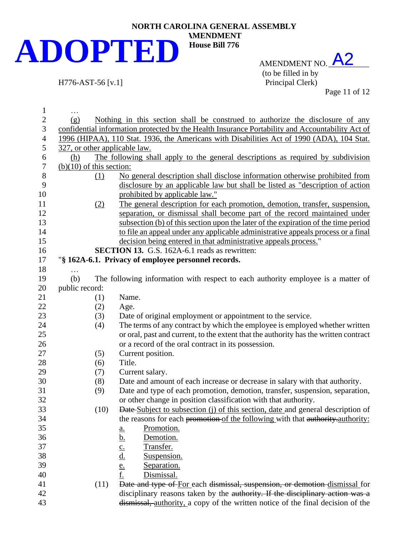## **NORTH CAROLINA GENERAL ASSEMBLY AMENDMENT ADOPTED**

AMENDMENT NO.  $A2$ (to be filled in by<br>Principal Clerk)

H776-AST-56 [v.1]

Page 11 of 12

| $\mathbf{1}$   | .                          |                                                                                            |                                                                                                  |  |  |
|----------------|----------------------------|--------------------------------------------------------------------------------------------|--------------------------------------------------------------------------------------------------|--|--|
| $\overline{c}$ | (g)                        |                                                                                            | Nothing in this section shall be construed to authorize the disclosure of any                    |  |  |
| 3              |                            |                                                                                            | confidential information protected by the Health Insurance Portability and Accountability Act of |  |  |
| $\overline{4}$ |                            | 1996 (HIPAA), 110 Stat. 1936, the Americans with Disabilities Act of 1990 (ADA), 104 Stat. |                                                                                                  |  |  |
| 5              |                            |                                                                                            | 327, or other applicable law.                                                                    |  |  |
| 6              | (h)                        |                                                                                            | The following shall apply to the general descriptions as required by subdivision                 |  |  |
| $\sqrt{ }$     | $(b)(10)$ of this section: |                                                                                            |                                                                                                  |  |  |
| 8              |                            | (1)                                                                                        | No general description shall disclose information otherwise prohibited from                      |  |  |
| 9              |                            |                                                                                            | disclosure by an applicable law but shall be listed as "description of action                    |  |  |
| 10             |                            |                                                                                            | prohibited by applicable law."                                                                   |  |  |
| 11             |                            | (2)                                                                                        | The general description for each promotion, demotion, transfer, suspension,                      |  |  |
| 12             |                            |                                                                                            | separation, or dismissal shall become part of the record maintained under                        |  |  |
| 13             |                            |                                                                                            | subsection (b) of this section upon the later of the expiration of the time period               |  |  |
| 14             |                            |                                                                                            | to file an appeal under any applicable administrative appeals process or a final                 |  |  |
| 15             |                            |                                                                                            | decision being entered in that administrative appeals process."                                  |  |  |
| 16             |                            |                                                                                            | <b>SECTION 13.</b> G.S. 162A-6.1 reads as rewritten:                                             |  |  |
| 17             |                            |                                                                                            | "§ 162A-6.1. Privacy of employee personnel records.                                              |  |  |
| 18             | .                          |                                                                                            |                                                                                                  |  |  |
| 19             | (b)                        |                                                                                            | The following information with respect to each authority employee is a matter of                 |  |  |
| 20             | public record:             |                                                                                            |                                                                                                  |  |  |
| 21             |                            | (1)                                                                                        | Name.                                                                                            |  |  |
| 22             |                            | (2)                                                                                        | Age.                                                                                             |  |  |
| 23             |                            | (3)                                                                                        | Date of original employment or appointment to the service.                                       |  |  |
| 24             |                            | (4)                                                                                        | The terms of any contract by which the employee is employed whether written                      |  |  |
| 25             |                            |                                                                                            | or oral, past and current, to the extent that the authority has the written contract             |  |  |
| 26             |                            |                                                                                            | or a record of the oral contract in its possession.                                              |  |  |
| 27             |                            | (5)                                                                                        | Current position.                                                                                |  |  |
| 28             |                            | (6)                                                                                        | Title.                                                                                           |  |  |
| 29             |                            | (7)                                                                                        | Current salary.                                                                                  |  |  |
| 30             |                            | (8)                                                                                        | Date and amount of each increase or decrease in salary with that authority.                      |  |  |
| 31             |                            | (9)                                                                                        | Date and type of each promotion, demotion, transfer, suspension, separation,                     |  |  |
| 32             |                            |                                                                                            | or other change in position classification with that authority.                                  |  |  |
| 33             |                            | (10)                                                                                       | <b>Date Subject to subsection (j) of this section, date and general description of</b>           |  |  |
| 34             |                            |                                                                                            | the reasons for each promotion of the following with that authority-authority:                   |  |  |
| 35             |                            |                                                                                            | Promotion.<br><u>a.</u>                                                                          |  |  |
| 36             |                            |                                                                                            | <u>b.</u><br>Demotion.                                                                           |  |  |
| 37             |                            |                                                                                            | Transfer.                                                                                        |  |  |
| 38             |                            |                                                                                            | $\frac{c}{d}$<br>Suspension.                                                                     |  |  |
| 39             |                            |                                                                                            | $\frac{e}{f}$<br>Separation.                                                                     |  |  |
| 40             |                            |                                                                                            | Dismissal.                                                                                       |  |  |
| 41             |                            | (11)                                                                                       | Date and type of For each dismissal, suspension, or demotion dismissal for                       |  |  |
| 42             |                            |                                                                                            | disciplinary reasons taken by the authority. If the disciplinary action was a                    |  |  |
| 43             |                            |                                                                                            | dismissal, authority, a copy of the written notice of the final decision of the                  |  |  |

**House Bill 776**